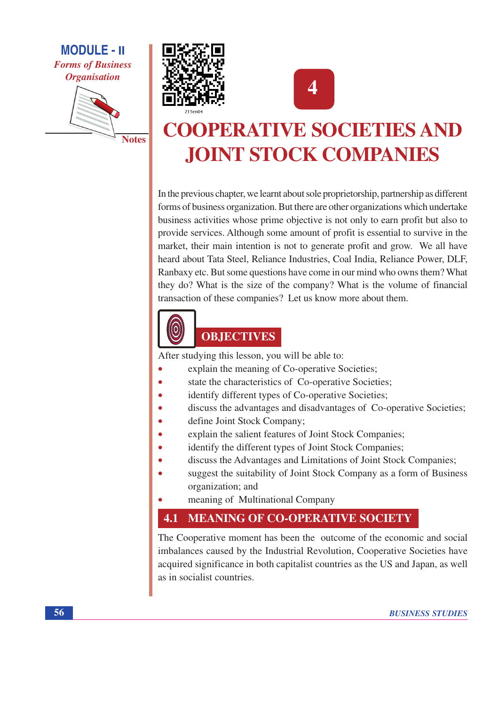**MODULE - II Forms of Business Organisation** 







# **COOPERATIVE SOCIETIES AND JOINT STOCK COMPANIES**

In the previous chapter, we learnt about sole proprietorship, partnership as different forms of business organization. But there are other organizations which undertake business activities whose prime objective is not only to earn profit but also to provide services. Although some amount of profit is essential to survive in the market, their main intention is not to generate profit and grow. We all have heard about Tata Steel, Reliance Industries, Coal India, Reliance Power, DLF, Ranbaxy etc. But some questions have come in our mind who owns them? What they do? What is the size of the company? What is the volume of financial transaction of these companies? Let us know more about them.



## **OBJECTIVES**

After studying this lesson, you will be able to:

- explain the meaning of Co-operative Societies;
- state the characteristics of Co-operative Societies;
- identify different types of Co-operative Societies;
- discuss the advantages and disadvantages of Co-operative Societies; ó
- define Joint Stock Company;
- explain the salient features of Joint Stock Companies;
- identify the different types of Joint Stock Companies;
- discuss the Advantages and Limitations of Joint Stock Companies;
- suggest the suitability of Joint Stock Company as a form of Business organization; and
- meaning of Multinational Company

#### 4.1 **MEANING OF CO-OPERATIVE SOCIETY**

The Cooperative moment has been the outcome of the economic and social imbalances caused by the Industrial Revolution, Cooperative Societies have acquired significance in both capitalist countries as the US and Japan, as well as in socialist countries.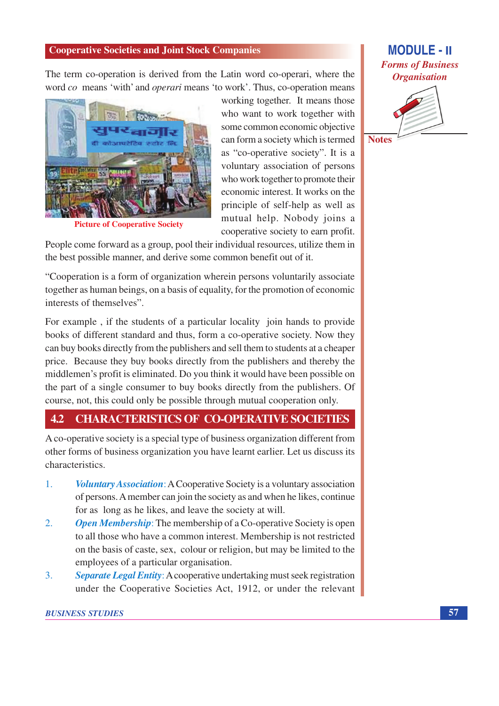The term co-operation is derived from the Latin word co-operari, where the word co means 'with' and *operari* means 'to work'. Thus, co-operation means



**Picture of Cooperative Society** 

working together. It means those who want to work together with some common economic objective can form a society which is termed as "co-operative society". It is a voluntary association of persons who work together to promote their economic interest. It works on the principle of self-help as well as mutual help. Nobody joins a cooperative society to earn profit.

People come forward as a group, pool their individual resources, utilize them in the best possible manner, and derive some common benefit out of it.

"Cooperation is a form of organization wherein persons voluntarily associate together as human beings, on a basis of equality, for the promotion of economic interests of themselves".

For example, if the students of a particular locality join hands to provide books of different standard and thus, form a co-operative society. Now they can buy books directly from the publishers and sell them to students at a cheaper price. Because they buy books directly from the publishers and thereby the middlemen's profit is eliminated. Do you think it would have been possible on the part of a single consumer to buy books directly from the publishers. Of course, not, this could only be possible through mutual cooperation only.

#### $4.2$ **CHARACTERISTICS OF CO-OPERATIVE SOCIETIES**

A co-operative society is a special type of business organization different from other forms of business organization you have learnt earlier. Let us discuss its characteristics

- $1<sub>1</sub>$ **Voluntary Association:** A Cooperative Society is a voluntary association of persons. A member can join the society as and when he likes, continue for as long as he likes, and leave the society at will.
- $\overline{2}$ . **Open Membership:** The membership of a Co-operative Society is open to all those who have a common interest. Membership is not restricted on the basis of caste, sex, colour or religion, but may be limited to the employees of a particular organisation.
- $3<sub>1</sub>$ **Separate Legal Entity:** A cooperative undertaking must seek registration under the Cooperative Societies Act, 1912, or under the relevant

## **MODULE - II Forms of Business Organisation**

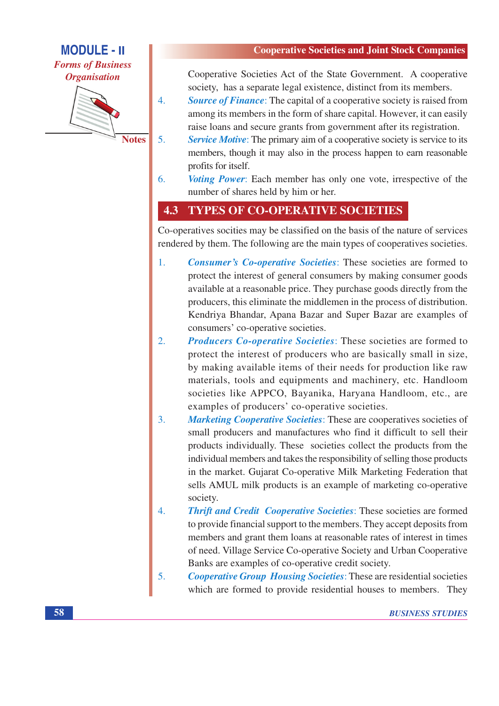**MODULE - II Forms of Business Organisation** 



**Notes** 

 $\overline{4}$ .

 $5<sub>1</sub>$ 

Cooperative Societies Act of the State Government. A cooperative society, has a separate legal existence, distinct from its members.

**Source of Finance:** The capital of a cooperative society is raised from among its members in the form of share capital. However, it can easily raise loans and secure grants from government after its registration.

- **Service Motive:** The primary aim of a cooperative society is service to its members, though it may also in the process happen to earn reasonable profits for itself.
- *Voting Power*: Each member has only one vote, irrespective of the 6. number of shares held by him or her.

#### 4.3 **TYPES OF CO-OPERATIVE SOCIETIES**

Co-operatives socities may be classified on the basis of the nature of services rendered by them. The following are the main types of cooperatives societies.

- **Consumer's Co-operative Societies:** These societies are formed to  $1.$ protect the interest of general consumers by making consumer goods available at a reasonable price. They purchase goods directly from the producers, this eliminate the middlemen in the process of distribution. Kendriya Bhandar, Apana Bazar and Super Bazar are examples of consumers' co-operative societies.
- **Producers Co-operative Societies:** These societies are formed to  $2.$ protect the interest of producers who are basically small in size, by making available items of their needs for production like raw materials, tools and equipments and machinery, etc. Handloom societies like APPCO, Bayanika, Haryana Handloom, etc., are examples of producers' co-operative societies.
- $\mathbf{3}$ **Marketing Cooperative Societies:** These are cooperatives societies of small producers and manufactures who find it difficult to sell their products individually. These societies collect the products from the individual members and takes the responsibility of selling those products in the market. Gujarat Co-operative Milk Marketing Federation that sells AMUL milk products is an example of marketing co-operative society.
- $\overline{4}$ **Thrift and Credit Cooperative Societies: These societies are formed** to provide financial support to the members. They accept deposits from members and grant them loans at reasonable rates of interest in times of need. Village Service Co-operative Society and Urban Cooperative Banks are examples of co-operative credit society.
- $5<sub>1</sub>$ **Cooperative Group Housing Societies: These are residential societies** which are formed to provide residential houses to members. They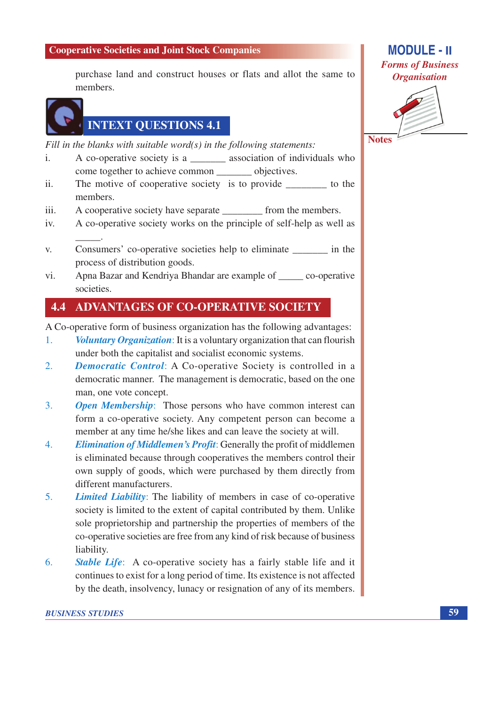purchase land and construct houses or flats and allot the same to members.



## **INTEXT QUESTIONS 4.1**

Fill in the blanks with suitable word( $s$ ) in the following statements:

- A co-operative society is a \_\_\_\_\_\_\_\_\_ association of individuals who  $\mathbf{i}$ . come together to achieve common objectives.
- The motive of cooperative society is to provide \_\_\_\_\_\_\_\_\_ to the  $ii$ members.
- iii. A cooperative society have separate from the members.
- $iv_{i}$ A co-operative society works on the principle of self-help as well as
- Consumers' co-operative societies help to eliminate \_\_\_\_\_\_\_\_\_ in the  $V<sub>r</sub>$ process of distribution goods.
- Apna Bazar and Kendriya Bhandar are example of co-operative vi. societies.

#### 4.4 **ADVANTAGES OF CO-OPERATIVE SOCIETY**

A Co-operative form of business organization has the following advantages:

- Voluntary Organization: It is a voluntary organization that can flourish  $\mathbf{1}$ . under both the capitalist and socialist economic systems.
- **Democratic Control:** A Co-operative Society is controlled in a  $2.$ democratic manner. The management is democratic, based on the one man, one vote concept.
- $\overline{3}$ . **Open Membership:** Those persons who have common interest can form a co-operative society. Any competent person can become a member at any time he/she likes and can leave the society at will.
- $\overline{4}$ . *Elimination of Middlemen's Profit:* Generally the profit of middlemen is eliminated because through cooperatives the members control their own supply of goods, which were purchased by them directly from different manufacturers.
- $5<sub>1</sub>$ **Limited Liability:** The liability of members in case of co-operative society is limited to the extent of capital contributed by them. Unlike sole proprietorship and partnership the properties of members of the co-operative societies are free from any kind of risk because of business liability.
- 6. **Stable Life:** A co-operative society has a fairly stable life and it continues to exist for a long period of time. Its existence is not affected by the death, insolvency, lunacy or resignation of any of its members.

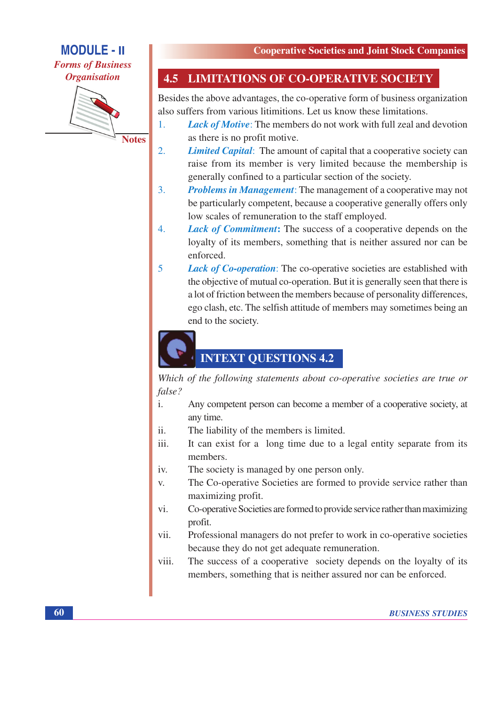**MODULE - II** 

**Forms of Business Organisation** 



**Notes** 

#### **LIMITATIONS OF CO-OPERATIVE SOCIETY** 4.5

Besides the above advantages, the co-operative form of business organization also suffers from various litimitions. Let us know these limitations.

- **Lack of Motive:** The members do not work with full zeal and devotion  $1<sub>1</sub>$ as there is no profit motive.
- $\overline{2}$ . **Limited Capital:** The amount of capital that a cooperative society can raise from its member is very limited because the membership is generally confined to a particular section of the society.
- $\overline{3}$ . **Problems in Management:** The management of a cooperative may not be particularly competent, because a cooperative generally offers only low scales of remuneration to the staff employed.
- $\overline{4}$ . **Lack of Commitment:** The success of a cooperative depends on the loyalty of its members, something that is neither assured nor can be enforced.
- 5 **Lack of Co-operation:** The co-operative societies are established with the objective of mutual co-operation. But it is generally seen that there is a lot of friction between the members because of personality differences, ego clash, etc. The selfish attitude of members may sometimes being an end to the society.



## **INTEXT QUESTIONS 4.2**

Which of the following statements about co-operative societies are true or  $false?$ 

- $\mathbf{i}$ . Any competent person can become a member of a cooperative society, at any time.
- ii. The liability of the members is limited.
- It can exist for a long time due to a legal entity separate from its iii. members.
- The society is managed by one person only. iv.
- The Co-operative Societies are formed to provide service rather than  $V_{\star}$ maximizing profit.
- Co-operative Societies are formed to provide service rather than maximizing vi. profit.
- Professional managers do not prefer to work in co-operative societies vii. because they do not get adequate remuneration.
- The success of a cooperative society depends on the loyalty of its viii. members, something that is neither assured nor can be enforced.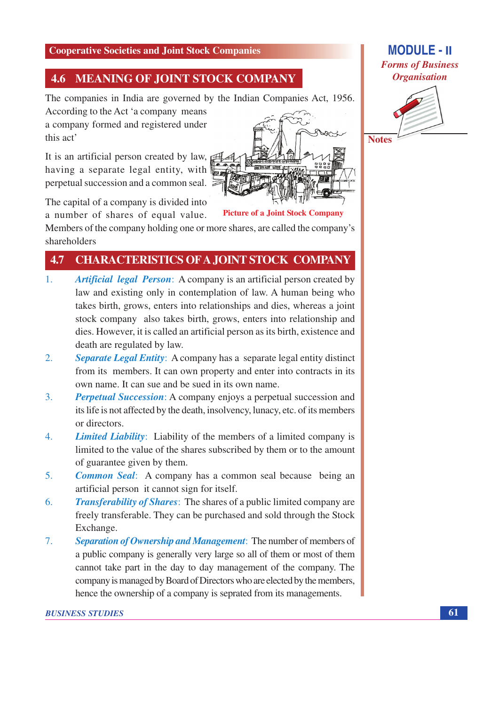#### **MEANING OF JOINT STOCK COMPANY** 4.6

The companies in India are governed by the Indian Companies Act, 1956.

According to the Act 'a company means a company formed and registered under this act'

It is an artificial person created by law, having a separate legal entity, with perpetual succession and a common seal.

The capital of a company is divided into a number of shares of equal value.

**Picture of a Joint Stock Company** 

Members of the company holding one or more shares, are called the company's shareholders

#### 4.7 **CHARACTERISTICS OF A JOINT STOCK COMPANY**

- $1<sub>1</sub>$ **Artificial legal Person:** A company is an artificial person created by law and existing only in contemplation of law. A human being who takes birth, grows, enters into relationships and dies, whereas a joint stock company also takes birth, grows, enters into relationship and dies. However, it is called an artificial person as its birth, existence and death are regulated by law.
- **Separate Legal Entity:** A company has a separate legal entity distinct  $2.$ from its members. It can own property and enter into contracts in its own name. It can sue and be sued in its own name.
- $3<sub>1</sub>$ **Perpetual Succession:** A company enjoys a perpetual succession and its life is not affected by the death, insolvency, lunacy, etc. of its members or directors.
- *Limited Liability*: Liability of the members of a limited company is  $\overline{4}$ . limited to the value of the shares subscribed by them or to the amount of guarantee given by them.
- $5<sub>1</sub>$ **Common Seal:** A company has a common seal because being an artificial person it cannot sign for itself.
- 6. **Transferability of Shares:** The shares of a public limited company are freely transferable. They can be purchased and sold through the Stock Exchange.
- $7<sub>1</sub>$ Separation of Ownership and Management: The number of members of a public company is generally very large so all of them or most of them cannot take part in the day to day management of the company. The company is managed by Board of Directors who are elected by the members, hence the ownership of a company is seprated from its managements.



## **MODULE - II Forms of Business Organisation**

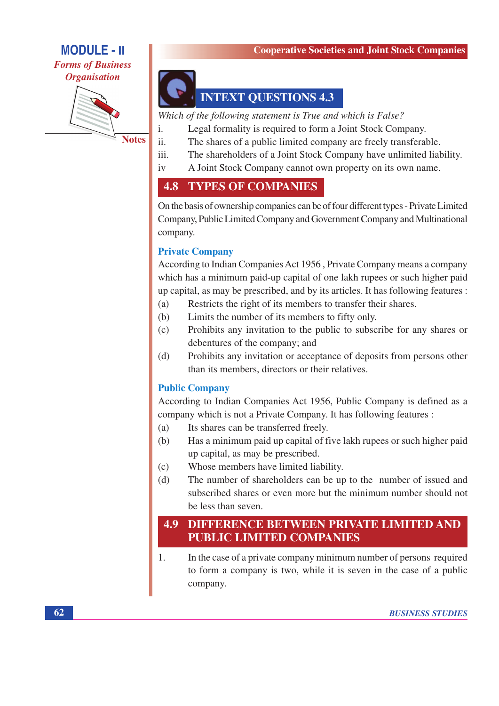**MODULE - II Forms of Business Organisation** 



**Notes** 

 $\mathbf{i}$ .

**INTEXT QUESTIONS 4.3** 

Which of the following statement is True and which is False?

- Legal formality is required to form a Joint Stock Company.
- ii. The shares of a public limited company are freely transferable.
- iii. The shareholders of a Joint Stock Company have unlimited liability.
- $iv$ A Joint Stock Company cannot own property on its own name.

#### **TYPES OF COMPANIES** 4.8

On the basis of ownership companies can be of four different types - Private Limited Company, Public Limited Company and Government Company and Multinational company.

### **Private Company**

According to Indian Companies Act 1956, Private Company means a company which has a minimum paid-up capital of one lakh rupees or such higher paid up capital, as may be prescribed, and by its articles. It has following features:

- Restricts the right of its members to transfer their shares.  $(a)$
- Limits the number of its members to fifty only.  $(b)$
- Prohibits any invitation to the public to subscribe for any shares or  $(c)$ debentures of the company; and
- Prohibits any invitation or acceptance of deposits from persons other  $(d)$ than its members, directors or their relatives.

### **Public Company**

According to Indian Companies Act 1956, Public Company is defined as a company which is not a Private Company. It has following features :

- Its shares can be transferred freely.  $(a)$
- $(b)$ Has a minimum paid up capital of five lakh rupees or such higher paid up capital, as may be prescribed.
- Whose members have limited liability.  $(c)$
- The number of shareholders can be up to the number of issued and  $(d)$ subscribed shares or even more but the minimum number should not be less than seven.

#### 4.9 DIFFERENCE BETWEEN PRIVATE LIMITED AND **PUBLIC LIMITED COMPANIES**

1. In the case of a private company minimum number of persons required to form a company is two, while it is seven in the case of a public company.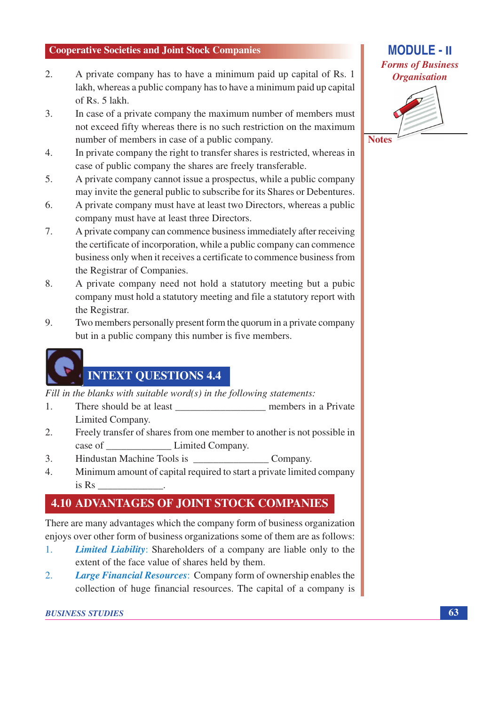- $\overline{2}$ . A private company has to have a minimum paid up capital of Rs. 1 lakh, whereas a public company has to have a minimum paid up capital of Rs. 5 lakh.
- $\overline{3}$ . In case of a private company the maximum number of members must not exceed fifty whereas there is no such restriction on the maximum number of members in case of a public company.
- In private company the right to transfer shares is restricted, whereas in  $\overline{4}$ . case of public company the shares are freely transferable.
- $5<sub>1</sub>$ A private company cannot issue a prospectus, while a public company may invite the general public to subscribe for its Shares or Debentures.
- A private company must have at least two Directors, whereas a public 6. company must have at least three Directors.
- A private company can commence business immediately after receiving 7. the certificate of incorporation, while a public company can commence business only when it receives a certificate to commence business from the Registrar of Companies.
- 8. A private company need not hold a statutory meeting but a pubic company must hold a statutory meeting and file a statutory report with the Registrar.
- 9. Two members personally present form the quorum in a private company but in a public company this number is five members.

## **INTEXT QUESTIONS 4.4**

Fill in the blanks with suitable word( $s$ ) in the following statements:

- There should be at least members in a Private 1. Limited Company.
- $\overline{2}$ . Freely transfer of shares from one member to another is not possible in case of Limited Company.
- Hindustan Machine Tools is Company. 3.
- $\overline{4}$ . Minimum amount of capital required to start a private limited company  $is Rs$

## **4.10 ADVANTAGES OF JOINT STOCK COMPANIES**

There are many advantages which the company form of business organization enjoys over other form of business organizations some of them are as follows:

- *Limited Liability:* Shareholders of a company are liable only to the  $1<sub>1</sub>$ extent of the face value of shares held by them.
- **Large Financial Resources:** Company form of ownership enables the  $2.$ collection of huge financial resources. The capital of a company is





63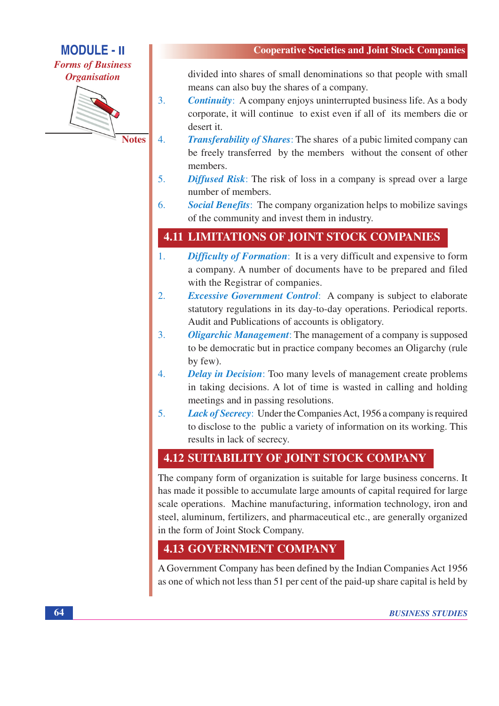**MODULE - II Forms of Business Organisation** 



**Notes** 

 $\overline{3}$ .

 $\overline{4}$ .

divided into shares of small denominations so that people with small means can also buy the shares of a company.

- **Continuity:** A company enjoys uninterrupted business life. As a body corporate, it will continue to exist even if all of its members die or desert it.
- **Transferability of Shares:** The shares of a pubic limited company can be freely transferred by the members without the consent of other members.
- $5<sub>1</sub>$ **Diffused Risk:** The risk of loss in a company is spread over a large number of members.
- 6. **Social Benefits:** The company organization helps to mobilize savings of the community and invest them in industry.

## **4.11 LIMITATIONS OF JOINT STOCK COMPANIES**

- **Difficulty of Formation:** It is a very difficult and expensive to form 1. a company. A number of documents have to be prepared and filed with the Registrar of companies.
- 2. *Excessive Government Control*: A company is subject to elaborate statutory regulations in its day-to-day operations. Periodical reports. Audit and Publications of accounts is obligatory.
- **Oligarchic Management:** The management of a company is supposed  $\overline{3}$ . to be democratic but in practice company becomes an Oligarchy (rule by few).
- $\overline{4}$ . **Delay in Decision:** Too many levels of management create problems in taking decisions. A lot of time is wasted in calling and holding meetings and in passing resolutions.
- $5<sub>1</sub>$ **Lack of Secrecy:** Under the Companies Act, 1956 a company is required to disclose to the public a variety of information on its working. This results in lack of secrecy.

## **4.12 SUITABILITY OF JOINT STOCK COMPANY**

The company form of organization is suitable for large business concerns. It has made it possible to accumulate large amounts of capital required for large scale operations. Machine manufacturing, information technology, iron and steel, aluminum, fertilizers, and pharmaceutical etc., are generally organized in the form of Joint Stock Company.

## **4.13 GOVERNMENT COMPANY**

A Government Company has been defined by the Indian Companies Act 1956 as one of which not less than 51 per cent of the paid-up share capital is held by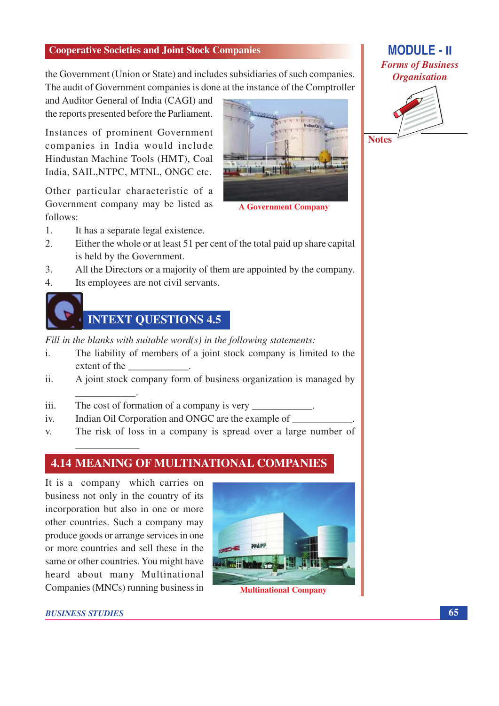the Government (Union or State) and includes subsidiaries of such companies. The audit of Government companies is done at the instance of the Comptroller

and Auditor General of India (CAGI) and the reports presented before the Parliament.

Instances of prominent Government companies in India would include Hindustan Machine Tools (HMT), Coal India, SAIL, NTPC, MTNL, ONGC etc.

Other particular characteristic of a Government company may be listed as follows:



**A Government Company** 

- 1. It has a separate legal existence.
- $\mathcal{L}$ Either the whole or at least 51 per cent of the total paid up share capital is held by the Government.
- $\overline{3}$ . All the Directors or a majority of them are appointed by the company.
- Its employees are not civil servants.  $\overline{4}$



Fill in the blanks with suitable word( $s$ ) in the following statements:

- The liability of members of a joint stock company is limited to the  $\mathbf{i}$ . extent of the
- A joint stock company form of business organization is managed by  $ii.$
- iii. The cost of formation of a company is very
- $iv.$ Indian Oil Corporation and ONGC are the example of
- The risk of loss in a company is spread over a large number of  $\mathbf{V}$

### **4.14 MEANING OF MULTINATIONAL COMPANIES**

It is a company which carries on business not only in the country of its incorporation but also in one or more other countries. Such a company may produce goods or arrange services in one or more countries and sell these in the same or other countries. You might have heard about many Multinational Companies (MNCs) running business in



**BUSINESS STUDIES** 

## **MODULE - II Forms of Business Organisation**

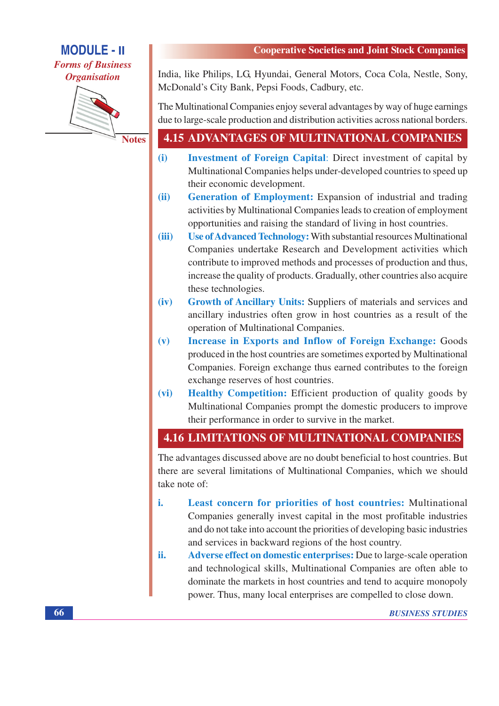**MODULE - II Forms of Business** 

**Organisation** 



**Notes** 

India, like Philips, LG, Hyundai, General Motors, Coca Cola, Nestle, Sony, McDonald's City Bank, Pepsi Foods, Cadbury, etc.

The Multinational Companies enjoy several advantages by way of huge earnings due to large-scale production and distribution activities across national borders.

## **4.15 ADVANTAGES OF MULTINATIONAL COMPANIES**

- $(i)$ **Investment of Foreign Capital:** Direct investment of capital by Multinational Companies helps under-developed countries to speed up their economic development.
- **Generation of Employment:** Expansion of industrial and trading  $(ii)$ activities by Multinational Companies leads to creation of employment opportunities and raising the standard of living in host countries.
- $(iii)$ **Use of Advanced Technology: With substantial resources Multinational** Companies undertake Research and Development activities which contribute to improved methods and processes of production and thus, increase the quality of products. Gradually, other countries also acquire these technologies.
- Growth of Ancillary Units: Suppliers of materials and services and  $(iv)$ ancillary industries often grow in host countries as a result of the operation of Multinational Companies.
- **Increase in Exports and Inflow of Foreign Exchange: Goods**  $(v)$ produced in the host countries are sometimes exported by Multinational Companies. Foreign exchange thus earned contributes to the foreign exchange reserves of host countries.
- $(vi)$ **Healthy Competition:** Efficient production of quality goods by Multinational Companies prompt the domestic producers to improve their performance in order to survive in the market.

### **4.16 LIMITATIONS OF MULTINATIONAL COMPANIES**

The advantages discussed above are no doubt beneficial to host countries. But there are several limitations of Multinational Companies, which we should take note of:

- i. Least concern for priorities of host countries: Multinational Companies generally invest capital in the most profitable industries and do not take into account the priorities of developing basic industries and services in backward regions of the host country.
- Adverse effect on domestic enterprises: Due to large-scale operation ii. and technological skills, Multinational Companies are often able to dominate the markets in host countries and tend to acquire monopoly power. Thus, many local enterprises are compelled to close down.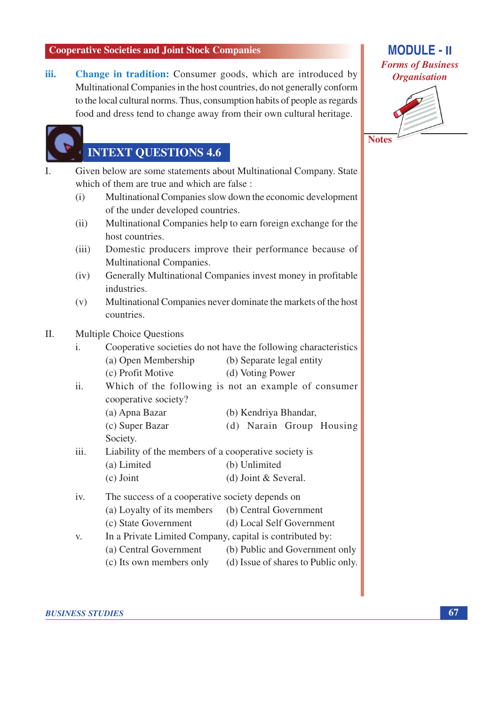iii. Change in tradition: Consumer goods, which are introduced by Multinational Companies in the host countries, do not generally conform to the local cultural norms. Thus, consumption habits of people as regards food and dress tend to change away from their own cultural heritage.

## **INTEXT QUESTIONS 4.6**

- Given below are some statements about Multinational Company. State  $\mathbf{I}$ . which of them are true and which are false: Multinational Companies slow down the economic development  $(i)$ of the under developed countries.  $(ii)$ Multinational Companies help to earn foreign exchange for the host countries. Domestic producers improve their performance because of  $(iii)$ **Multinational Companies.** 
	- Generally Multinational Companies invest money in profitable  $(iv)$ industries.
	- $(v)$ Multinational Companies never dominate the markets of the host countries.

#### $\Pi$ . **Multiple Choice Ouestions**

- Cooperative societies do not have the following characteristics  $\mathbf{i}$ . (a) Open Membership (b) Separate legal entity (c) Profit Motive (d) Voting Power Which of the following is not an example of consumer ii. cooperative society? (a) Apna Bazar (b) Kendriya Bhandar, (c) Super Bazar (d) Narain Group Housing Society. iii. Liability of the members of a cooperative society is (a) Limited (b) Unlimited  $(c)$  Joint (d) Joint  $&$  Several. The success of a cooperative society depends on iv. (a) Loyalty of its members (b) Central Government (c) State Government (d) Local Self Government
- In a Private Limited Company, capital is contributed by: V. (a) Central Government (b) Public and Government only
	-
	- (c) Its own members only (d) Issue of shares to Public only.

**BUSINESS STUDIES** 

## **MODULE - II Forms of Business Organisation**



67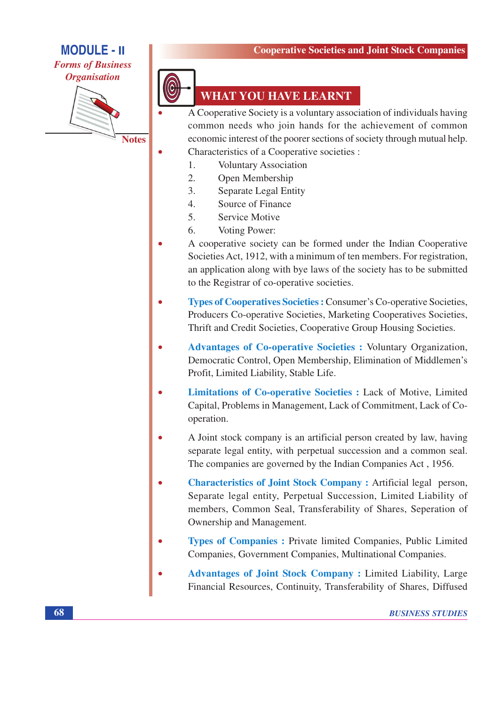### **MODULE - II Forms of Business Organisation**



**Notes** 



## **WHAT YOU HAVE LEARNT**

 $\overline{A}$  Cooperative Society is a voluntary association of individuals having common needs who join hands for the achievement of common economic interest of the poorer sections of society through mutual help. Characteristics of a Cooperative societies :

- **Voluntary Association** 1.
- $\overline{2}$ . Open Membership
- $\mathcal{E}$ **Separate Legal Entity**
- $\overline{4}$ Source of Finance
- $5<sub>1</sub>$ **Service Motive**
- 6. Voting Power:
- A cooperative society can be formed under the Indian Cooperative Societies Act, 1912, with a minimum of ten members. For registration, an application along with bye laws of the society has to be submitted to the Registrar of co-operative societies.
- **Types of Cooperatives Societies : Consumer's Co-operative Societies,** Producers Co-operative Societies, Marketing Cooperatives Societies, Thrift and Credit Societies, Cooperative Group Housing Societies.
- **Advantages of Co-operative Societies : Voluntary Organization,** Democratic Control, Open Membership, Elimination of Middlemen's Profit, Limited Liability, Stable Life.
- Limitations of Co-operative Societies : Lack of Motive, Limited  $\bullet$ Capital, Problems in Management, Lack of Commitment, Lack of Cooperation.
- A Joint stock company is an artificial person created by law, having separate legal entity, with perpetual succession and a common seal. The companies are governed by the Indian Companies Act, 1956.
- **Characteristics of Joint Stock Company: Artificial legal person.** Separate legal entity, Perpetual Succession, Limited Liability of members, Common Seal, Transferability of Shares, Seperation of Ownership and Management.
- Types of Companies: Private limited Companies, Public Limited Companies, Government Companies, Multinational Companies.
- **Advantages of Joint Stock Company: Limited Liability, Large** Financial Resources, Continuity, Transferability of Shares, Diffused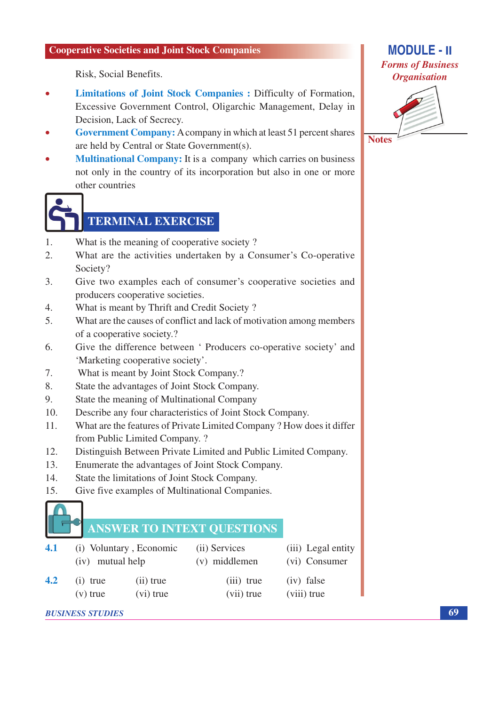Risk. Social Benefits.

- Limitations of Joint Stock Companies : Difficulty of Formation, Excessive Government Control, Oligarchic Management, Delay in Decision, Lack of Secrecy.
- Government Company: A company in which at least 51 percent shares are held by Central or State Government(s).
- **Multinational Company:** It is a company which carries on business not only in the country of its incorporation but also in one or more other countries



## **TERMINAL EXERCISE**

- 1. What is the meaning of cooperative society?
- $\overline{2}$ . What are the activities undertaken by a Consumer's Co-operative Society?
- $\overline{3}$ . Give two examples each of consumer's cooperative societies and producers cooperative societies.
- What is meant by Thrift and Credit Society?  $\overline{4}$ .
- $5<sub>1</sub>$ What are the causes of conflict and lack of motivation among members of a cooperative society.?
- Give the difference between ' Producers co-operative society' and 6. 'Marketing cooperative society'.
- What is meant by Joint Stock Company.? 7.
- State the advantages of Joint Stock Company. 8.
- 9. State the meaning of Multinational Company
- $10<sup>1</sup>$ Describe any four characteristics of Joint Stock Company.
- What are the features of Private Limited Company? How does it differ  $11.$ from Public Limited Company. ?
- 12. Distinguish Between Private Limited and Public Limited Company.
- $13$ Enumerate the advantages of Joint Stock Company.
- State the limitations of Joint Stock Company.  $14.$
- $15.$ Give five examples of Multinational Companies.

## **ANSWER TO INTEXT QUESTIONS**

| 4.1 | (i) Voluntary, Economic<br>(iv) mutual help |           | (ii) Services<br>(v) middlemen | (iii) Legal entity<br>(vi) Consumer |
|-----|---------------------------------------------|-----------|--------------------------------|-------------------------------------|
| 4.2 | $(i)$ true                                  | (ii) true | $(iii)$ true                   | $(iv)$ false                        |
|     | $(v)$ true                                  | (vi) true | (vii) true                     | (viii) true                         |

**BUSINESS STUDIES** 

## **MODULE - II Forms of Business Organisation**



**Notes** 

69